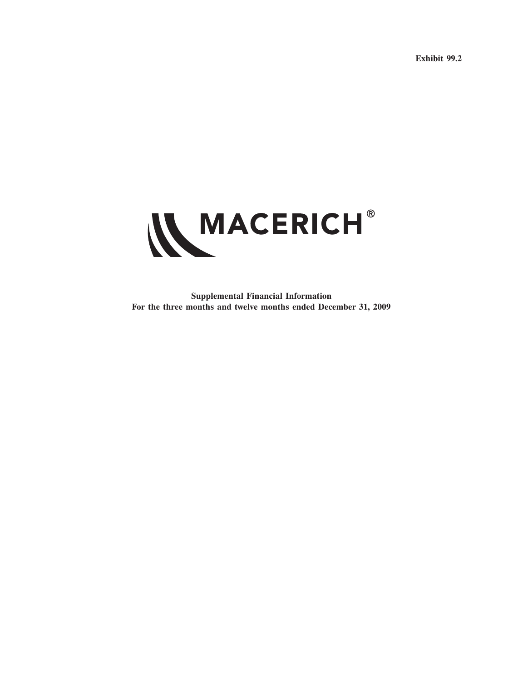**Exhibit 99.2**



**Supplemental Financial Information For the three months and twelve months ended December 31, 2009**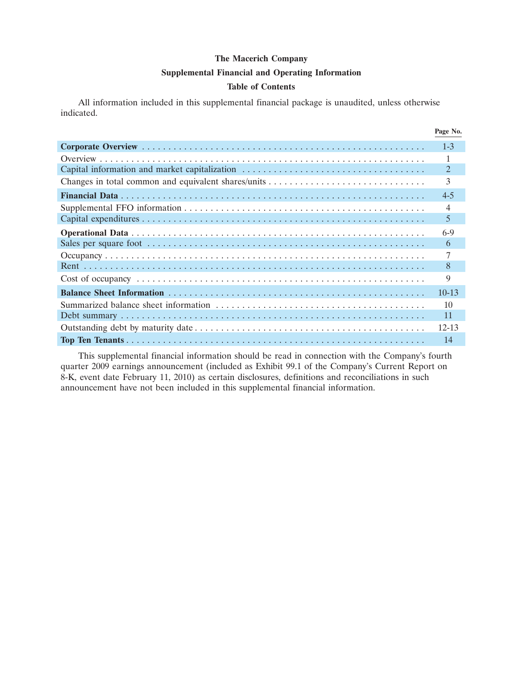### **Supplemental Financial and Operating Information**

### **Table of Contents**

All information included in this supplemental financial package is unaudited, unless otherwise indicated.

|                                               | Page No.  |
|-----------------------------------------------|-----------|
|                                               | $1 - 3$   |
|                                               |           |
| Capital information and market capitalization | 2         |
|                                               | 3         |
|                                               | $4 - 5$   |
|                                               | 4         |
|                                               | 5         |
|                                               | $6-9$     |
|                                               | 6         |
|                                               |           |
|                                               | 8         |
|                                               | 9         |
|                                               | $10 - 13$ |
|                                               | 10        |
|                                               | 11        |
|                                               | 12-13     |
|                                               | 14        |

This supplemental financial information should be read in connection with the Company's fourth quarter 2009 earnings announcement (included as Exhibit 99.1 of the Company's Current Report on 8-K, event date February 11, 2010) as certain disclosures, definitions and reconciliations in such announcement have not been included in this supplemental financial information.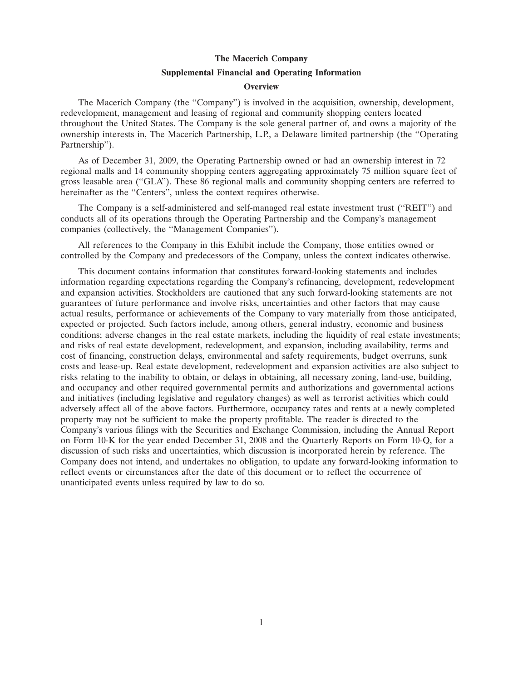#### **Supplemental Financial and Operating Information**

#### **Overview**

The Macerich Company (the ''Company'') is involved in the acquisition, ownership, development, redevelopment, management and leasing of regional and community shopping centers located throughout the United States. The Company is the sole general partner of, and owns a majority of the ownership interests in, The Macerich Partnership, L.P., a Delaware limited partnership (the ''Operating Partnership'').

As of December 31, 2009, the Operating Partnership owned or had an ownership interest in 72 regional malls and 14 community shopping centers aggregating approximately 75 million square feet of gross leasable area (''GLA''). These 86 regional malls and community shopping centers are referred to hereinafter as the "Centers", unless the context requires otherwise.

The Company is a self-administered and self-managed real estate investment trust (''REIT'') and conducts all of its operations through the Operating Partnership and the Company's management companies (collectively, the ''Management Companies'').

All references to the Company in this Exhibit include the Company, those entities owned or controlled by the Company and predecessors of the Company, unless the context indicates otherwise.

This document contains information that constitutes forward-looking statements and includes information regarding expectations regarding the Company's refinancing, development, redevelopment and expansion activities. Stockholders are cautioned that any such forward-looking statements are not guarantees of future performance and involve risks, uncertainties and other factors that may cause actual results, performance or achievements of the Company to vary materially from those anticipated, expected or projected. Such factors include, among others, general industry, economic and business conditions; adverse changes in the real estate markets, including the liquidity of real estate investments; and risks of real estate development, redevelopment, and expansion, including availability, terms and cost of financing, construction delays, environmental and safety requirements, budget overruns, sunk costs and lease-up. Real estate development, redevelopment and expansion activities are also subject to risks relating to the inability to obtain, or delays in obtaining, all necessary zoning, land-use, building, and occupancy and other required governmental permits and authorizations and governmental actions and initiatives (including legislative and regulatory changes) as well as terrorist activities which could adversely affect all of the above factors. Furthermore, occupancy rates and rents at a newly completed property may not be sufficient to make the property profitable. The reader is directed to the Company's various filings with the Securities and Exchange Commission, including the Annual Report on Form 10-K for the year ended December 31, 2008 and the Quarterly Reports on Form 10-Q, for a discussion of such risks and uncertainties, which discussion is incorporated herein by reference. The Company does not intend, and undertakes no obligation, to update any forward-looking information to reflect events or circumstances after the date of this document or to reflect the occurrence of unanticipated events unless required by law to do so.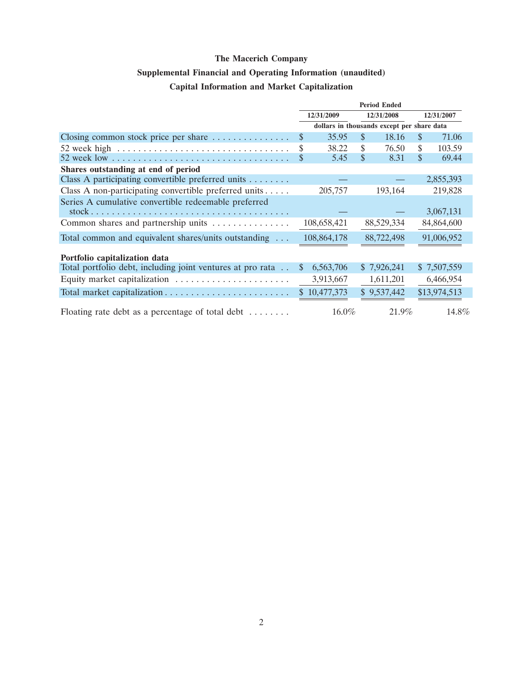# **Supplemental Financial and Operating Information (unaudited)**

# **Capital Information and Market Capitalization**

|                                                                                      | <b>Period Ended</b> |              |               |                                            |     |              |
|--------------------------------------------------------------------------------------|---------------------|--------------|---------------|--------------------------------------------|-----|--------------|
|                                                                                      | 12/31/2009          |              | 12/31/2008    |                                            |     | 12/31/2007   |
|                                                                                      |                     |              |               | dollars in thousands except per share data |     |              |
| Closing common stock price per share $\dots \dots \dots \dots$                       | \$                  | 35.95        | $\mathbf{\$}$ | 18.16                                      | \$. | 71.06        |
| 52 week high $\ldots \ldots \ldots \ldots \ldots \ldots \ldots \ldots \ldots \ldots$ | \$                  | 38.22        | \$            | 76.50                                      | \$  | 103.59       |
|                                                                                      | \$                  | 5.45         | \$            | 8.31                                       | \$  | 69.44        |
| Shares outstanding at end of period                                                  |                     |              |               |                                            |     |              |
| Class A participating convertible preferred units                                    |                     |              |               |                                            |     | 2,855,393    |
| Class A non-participating convertible preferred units                                |                     | 205,757      |               | 193,164                                    |     | 219,828      |
| Series A cumulative convertible redeemable preferred                                 |                     |              |               |                                            |     |              |
|                                                                                      |                     |              |               |                                            |     | 3,067,131    |
| Common shares and partnership units                                                  |                     | 108,658,421  |               | 88,529,334                                 |     | 84,864,600   |
| Total common and equivalent shares/units outstanding                                 |                     | 108,864,178  |               | 88,722,498                                 |     | 91,006,952   |
| Portfolio capitalization data                                                        |                     |              |               |                                            |     |              |
| Total portfolio debt, including joint ventures at pro rata                           | <sup>S</sup>        | 6,563,706    |               | \$7,926,241                                |     | \$7,507,559  |
|                                                                                      |                     | 3,913,667    |               | 1,611,201                                  |     | 6,466,954    |
|                                                                                      |                     | \$10,477,373 |               | \$9,537,442                                |     | \$13,974,513 |
| Floating rate debt as a percentage of total debt $\dots\dots\dots$                   |                     | $16.0\%$     |               | 21.9%                                      |     | 14.8%        |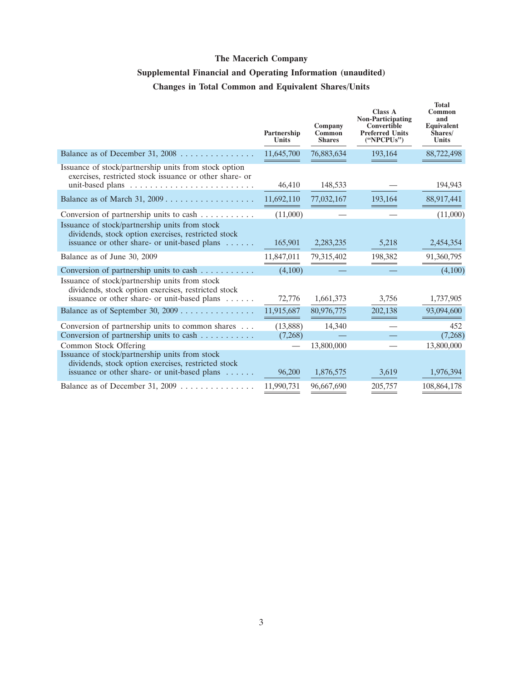# **Supplemental Financial and Operating Information (unaudited) Changes in Total Common and Equivalent Shares/Units**

|                                                                                                                                                                                | Partnership<br><b>Units</b> | Company<br>Common<br><b>Shares</b> | <b>Class A</b><br><b>Non-Participating</b><br>Convertible<br><b>Preferred Units</b><br>("NPCPUs") | <b>Total</b><br>Common<br>and<br>Equivalent<br>Shares/<br>Units |
|--------------------------------------------------------------------------------------------------------------------------------------------------------------------------------|-----------------------------|------------------------------------|---------------------------------------------------------------------------------------------------|-----------------------------------------------------------------|
| Balance as of December 31, $2008$                                                                                                                                              | 11,645,700                  | 76,883,634                         | 193,164                                                                                           | 88,722,498                                                      |
| Issuance of stock/partnership units from stock option<br>exercises, restricted stock issuance or other share- or                                                               | 46,410                      | 148,533                            |                                                                                                   | 194,943                                                         |
| Balance as of March 31, 2009                                                                                                                                                   | 11,692,110                  | 77,032,167                         | 193,164                                                                                           | 88,917,441                                                      |
| Conversion of partnership units to cash                                                                                                                                        | (11,000)                    |                                    |                                                                                                   | (11,000)                                                        |
| Issuance of stock/partnership units from stock<br>dividends, stock option exercises, restricted stock<br>issuance or other share- or unit-based plans                          | 165,901                     | 2,283,235                          | 5,218                                                                                             | 2,454,354                                                       |
| Balance as of June 30, 2009                                                                                                                                                    | 11,847,011                  | 79,315,402                         | 198,382                                                                                           | 91,360,795                                                      |
| Conversion of partnership units to cash $\dots \dots \dots$                                                                                                                    | (4,100)                     |                                    |                                                                                                   | (4,100)                                                         |
| Issuance of stock/partnership units from stock<br>dividends, stock option exercises, restricted stock<br>issuance or other share- or unit-based plans                          | 72,776                      | 1,661,373                          | 3,756                                                                                             | 1,737,905                                                       |
| Balance as of September 30, 2009                                                                                                                                               | 11,915,687                  | 80,976,775                         | 202,138                                                                                           | 93,094,600                                                      |
| Conversion of partnership units to common shares                                                                                                                               | (13,888)                    | 14,340                             |                                                                                                   | 452                                                             |
| Conversion of partnership units to cash                                                                                                                                        | (7,268)                     |                                    |                                                                                                   | (7,268)                                                         |
| Common Stock Offering<br>Issuance of stock/partnership units from stock<br>dividends, stock option exercises, restricted stock<br>issuance or other share- or unit-based plans | 96,200                      | 13,800,000<br>1,876,575            | 3,619                                                                                             | 13,800,000<br>1,976,394                                         |
| Balance as of December 31, 2009 $\dots \dots \dots \dots$                                                                                                                      | 11,990,731                  | 96,667,690                         | 205,757                                                                                           | 108,864,178                                                     |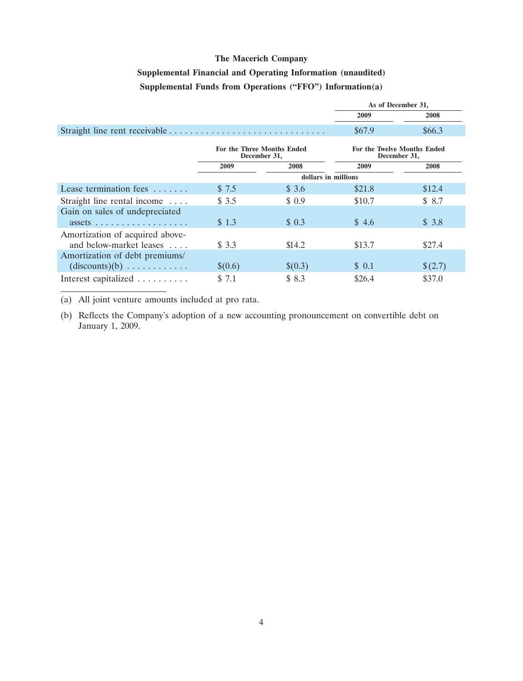# **Supplemental Financial and Operating Information (unaudited) Supplemental Funds from Operations (''FFO'') Information(a)**

|                                                                               |         |                                            | As of December 31, |                                                    |
|-------------------------------------------------------------------------------|---------|--------------------------------------------|--------------------|----------------------------------------------------|
|                                                                               |         |                                            | 2009               | 2008                                               |
|                                                                               |         |                                            | \$67.9             | \$66.3\$                                           |
|                                                                               |         | For the Three Months Ended<br>December 31, |                    | <b>For the Twelve Months Ended</b><br>December 31, |
|                                                                               | 2009    | 2008                                       | 2009               | 2008                                               |
|                                                                               |         | dollars in millions                        |                    |                                                    |
| Lease termination fees                                                        | \$7.5   | \$3.6                                      | \$21.8             | \$12.4                                             |
| Straight line rental income                                                   | \$3.5   | \$0.9                                      | \$10.7             | \$8.7                                              |
| Gain on sales of undepreciated<br>$assets \ldots \ldots \ldots \ldots \ldots$ | \$1.3   | \$0.3                                      | \$4.6              | \$3.8                                              |
| Amortization of acquired above-<br>and below-market leases                    | \$3.3   | \$14.2                                     | \$13.7             | \$27.4                                             |
| Amortization of debt premiums/<br>$(discounts)(b) \ldots \ldots \ldots$       | \$(0.6) | \$(0.3)                                    | \$0.1              | \$(2.7)                                            |
| Interest capitalized                                                          | \$7.1   | \$ 8.3                                     | \$26.4             | \$37.0                                             |

(a) All joint venture amounts included at pro rata.

(b) Reflects the Company's adoption of a new accounting pronouncement on convertible debt on January 1, 2009.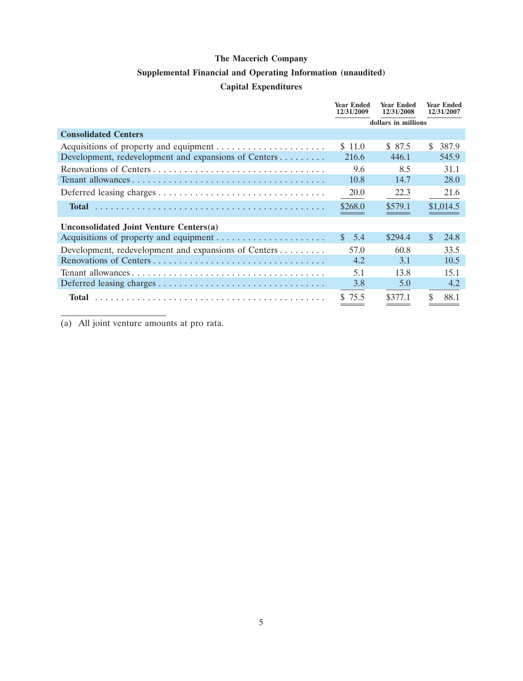### **Supplemental Financial and Operating Information (unaudited)**

### **Capital Expenditures**

|                                                      | <b>Year Ended</b><br>12/31/2009 | <b>Year Ended</b><br>12/31/2008 | <b>Year Ended</b><br>12/31/2007 |
|------------------------------------------------------|---------------------------------|---------------------------------|---------------------------------|
|                                                      | dollars in millions             |                                 |                                 |
| <b>Consolidated Centers</b>                          |                                 |                                 |                                 |
|                                                      | \$11.0                          | \$ 87.5                         | S.<br>387.9                     |
| Development, redevelopment and expansions of Centers | 216.6                           | 446.1                           | 545.9                           |
| Renovations of Centers                               | 9.6                             | 8.5                             | 31.1                            |
|                                                      | 10.8                            | 14.7                            | 28.0                            |
|                                                      | 20.0                            | 22.3                            | 21.6                            |
| <b>Total</b>                                         | \$268.0                         | \$579.1                         | \$1,014.5                       |
| Unconsolidated Joint Venture Centers(a)              |                                 |                                 |                                 |
|                                                      | $\mathbf{s}$<br>- 5.4           | \$294.4                         | $\mathbf{\$}$<br>24.8           |
| Development, redevelopment and expansions of Centers | 57.0                            | 60.8                            | 33.5                            |
|                                                      | 4.2                             | 3.1                             | 10.5                            |
|                                                      | 5.1                             | 13.8                            | 15.1                            |
|                                                      | 3.8                             | 5.0                             | 4.2                             |
| Total                                                | \$75.5                          | \$377.1                         | \$<br>88.1                      |

(a) All joint venture amounts at pro rata.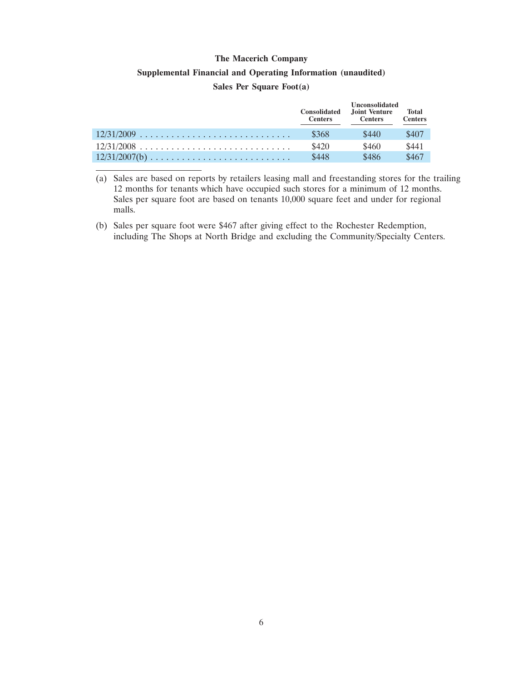# **Supplemental Financial and Operating Information (unaudited)**

### **Sales Per Square Foot(a)**

|                 | <b>Consolidated</b><br><b>Centers</b> | <b>Unconsolidated</b><br>Joint Venture<br><b>Centers</b> | <b>Total</b><br><b>Centers</b> |
|-----------------|---------------------------------------|----------------------------------------------------------|--------------------------------|
| $12/31/2009$    | \$368                                 | \$440                                                    | \$407                          |
| $12/31/2008$    | \$420                                 | \$460                                                    | \$441                          |
| $12/31/2007(b)$ | \$448                                 | \$486                                                    | \$467                          |

(a) Sales are based on reports by retailers leasing mall and freestanding stores for the trailing 12 months for tenants which have occupied such stores for a minimum of 12 months. Sales per square foot are based on tenants 10,000 square feet and under for regional malls.

(b) Sales per square foot were \$467 after giving effect to the Rochester Redemption, including The Shops at North Bridge and excluding the Community/Specialty Centers.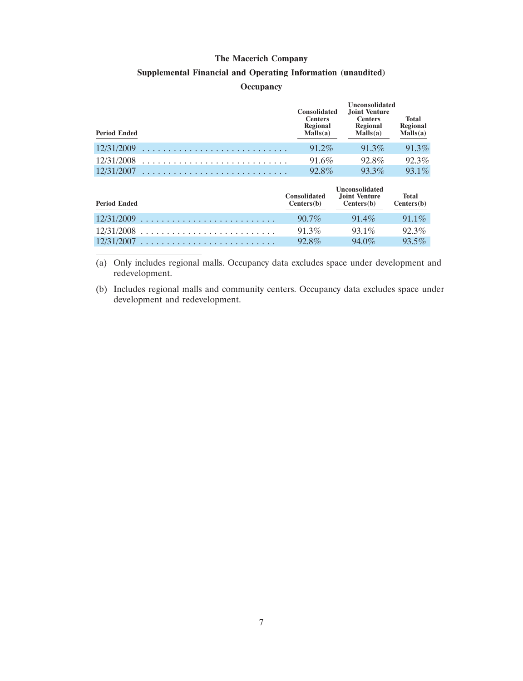### **Supplemental Financial and Operating Information (unaudited)**

### **Occupancy**

| <b>Period Ended</b> | <b>Consolidated</b><br><b>Centers</b><br><b>Regional</b><br>Malls(a) | <b>Unconsolidated</b><br>Joint Venture<br><b>Centers</b><br>Regional<br>Malls(a) | <b>Total</b><br>Regional<br>Malls(a) |
|---------------------|----------------------------------------------------------------------|----------------------------------------------------------------------------------|--------------------------------------|
| 12/31/2009          | $91.2\%$                                                             | $91.3\%$                                                                         | 91.3%                                |
| 12/31/2008          | 91.6%                                                                | 92.8%                                                                            | 92.3%                                |
| 12/31/2007          | 92.8%                                                                | $93.3\%$                                                                         | 93.1%                                |

| <b>Period Ended</b> | <b>Consolidated</b><br>Centers(b) | <b>Unconsolidated</b><br>Joint Venture<br>Centers(b) | <b>Total</b><br>Centers(b) |
|---------------------|-----------------------------------|------------------------------------------------------|----------------------------|
| $12/31/2009$        | $90.7\%$                          | $91.4\%$                                             | $91.1\%$                   |
| $12/31/2008$        | $91.3\%$                          | $931\%$                                              | $92.3\%$                   |
| $12/31/2007$        | $92.8\%$                          | $94.0\%$                                             | $93.5\%$                   |

(a) Only includes regional malls. Occupancy data excludes space under development and redevelopment.

(b) Includes regional malls and community centers. Occupancy data excludes space under development and redevelopment.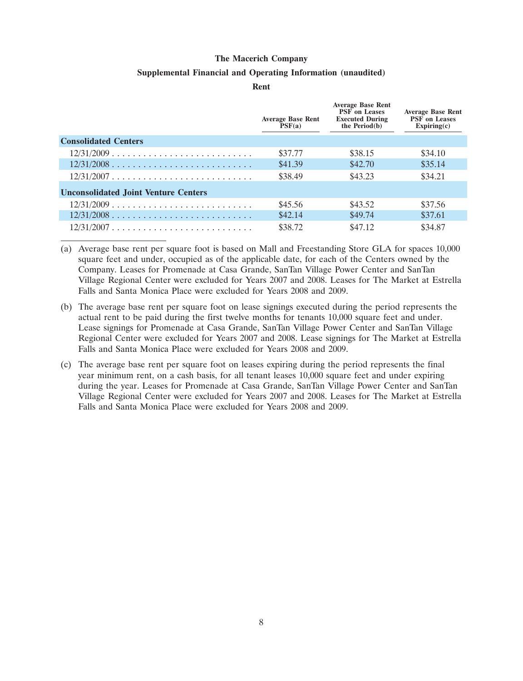#### **Supplemental Financial and Operating Information (unaudited)**

**Rent**

|                                                               | <b>Average Base Rent</b><br>PSF(a) | <b>Average Base Rent</b><br><b>PSF</b> on Leases<br><b>Executed During</b><br>the $Period(b)$ | <b>Average Base Rent</b><br><b>PSF</b> on Leases<br>Expiring(c) |
|---------------------------------------------------------------|------------------------------------|-----------------------------------------------------------------------------------------------|-----------------------------------------------------------------|
| <b>Consolidated Centers</b>                                   |                                    |                                                                                               |                                                                 |
| $12/31/2009 \ldots \ldots \ldots \ldots \ldots \ldots \ldots$ | \$37.77                            | \$38.15                                                                                       | \$34.10                                                         |
| $12/31/2008$                                                  | \$41.39                            | \$42.70                                                                                       | \$35.14                                                         |
| $12/31/2007$                                                  | \$38.49                            | \$43.23                                                                                       | \$34.21                                                         |
| <b>Unconsolidated Joint Venture Centers</b>                   |                                    |                                                                                               |                                                                 |
| $12/31/2009$                                                  | \$45.56                            | \$43.52                                                                                       | \$37.56                                                         |
| $12/31/2008$                                                  | \$42.14                            | \$49.74                                                                                       | \$37.61                                                         |
| 12/31/2007                                                    | \$38.72                            | \$47.12                                                                                       | \$34.87                                                         |

(a) Average base rent per square foot is based on Mall and Freestanding Store GLA for spaces 10,000 square feet and under, occupied as of the applicable date, for each of the Centers owned by the Company. Leases for Promenade at Casa Grande, SanTan Village Power Center and SanTan Village Regional Center were excluded for Years 2007 and 2008. Leases for The Market at Estrella Falls and Santa Monica Place were excluded for Years 2008 and 2009.

- (b) The average base rent per square foot on lease signings executed during the period represents the actual rent to be paid during the first twelve months for tenants 10,000 square feet and under. Lease signings for Promenade at Casa Grande, SanTan Village Power Center and SanTan Village Regional Center were excluded for Years 2007 and 2008. Lease signings for The Market at Estrella Falls and Santa Monica Place were excluded for Years 2008 and 2009.
- (c) The average base rent per square foot on leases expiring during the period represents the final year minimum rent, on a cash basis, for all tenant leases 10,000 square feet and under expiring during the year. Leases for Promenade at Casa Grande, SanTan Village Power Center and SanTan Village Regional Center were excluded for Years 2007 and 2008. Leases for The Market at Estrella Falls and Santa Monica Place were excluded for Years 2008 and 2009.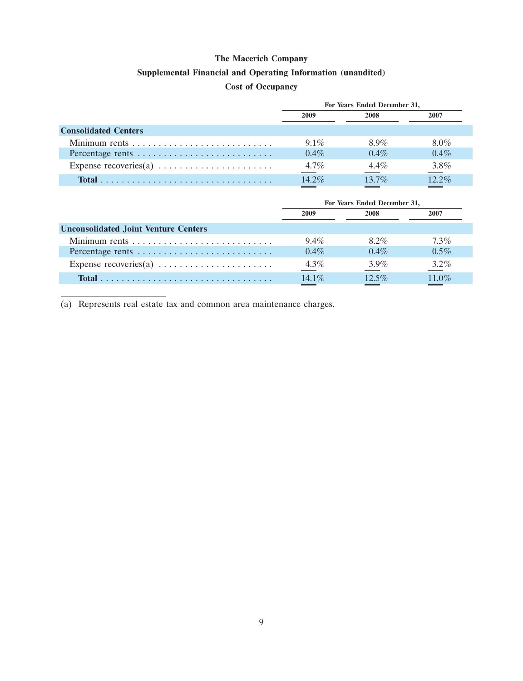### **Supplemental Financial and Operating Information (unaudited)**

# **Cost of Occupancy**

|                                                                   | For Years Ended December 31, |         |          |  |  |
|-------------------------------------------------------------------|------------------------------|---------|----------|--|--|
|                                                                   | 2009                         | 2008    | 2007     |  |  |
| <b>Consolidated Centers</b>                                       |                              |         |          |  |  |
|                                                                   | $91\%$                       | 8.9%    | $8.0\%$  |  |  |
| Percentage rents                                                  | $0.4\%$                      | $0.4\%$ | $0.4\%$  |  |  |
| Expense recoveries(a) $\dots \dots \dots \dots \dots \dots \dots$ | $4.7\%$                      | $4.4\%$ | 3.8%     |  |  |
|                                                                   | $14.2\%$                     | $137\%$ | $12.2\%$ |  |  |

| For Years Ended December 31, |          |         |  |
|------------------------------|----------|---------|--|
| 2009<br>2008                 |          | 2007    |  |
|                              |          |         |  |
| $9.4\%$                      | 8.2%     | $7.3\%$ |  |
| $0.4\%$                      | $0.4\%$  | $0.5\%$ |  |
| $4.3\%$                      | $3.9\%$  | $3.2\%$ |  |
| $14.1\%$                     | $12.5\%$ | 11.0%   |  |
|                              |          |         |  |

(a) Represents real estate tax and common area maintenance charges.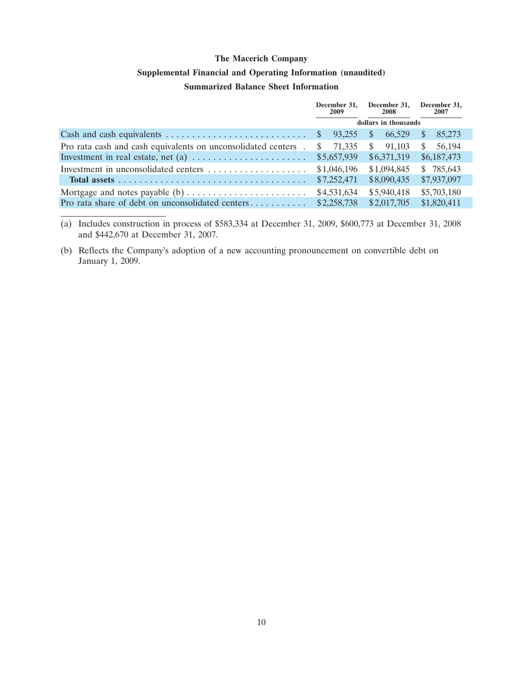# **Supplemental Financial and Operating Information (unaudited)**

## **Summarized Balance Sheet Information**

|                                                               | December 31.<br>2009   | December 31,<br>2008    | December 31,<br>2007   |
|---------------------------------------------------------------|------------------------|-------------------------|------------------------|
|                                                               | dollars in thousands   |                         |                        |
|                                                               | <sup>S</sup><br>93.255 | <sup>\$</sup><br>66.529 | 85,273<br><sup>S</sup> |
| Pro rata cash and cash equivalents on unconsolidated centers. | 71,335<br><sup>S</sup> | 91.103<br><sup>S</sup>  | 56,194<br>S.           |
|                                                               | \$5,657,939            | \$6,371,319             | \$6,187,473            |
| Investment in unconsolidated centers                          | \$1,046,196            | \$1,094,845             | \$785,643              |
|                                                               | \$7,252,471            | \$8,090,435             | \$7,937,097            |
|                                                               | \$4,531,634            | \$5,940,418             | \$5,703,180            |
| Pro rata share of debt on unconsolidated centers              | \$2,258,738            | \$2,017,705             | \$1,820,411            |

(a) Includes construction in process of \$583,334 at December 31, 2009, \$600,773 at December 31, 2008 and \$442,670 at December 31, 2007.

(b) Reflects the Company's adoption of a new accounting pronouncement on convertible debt on January 1, 2009.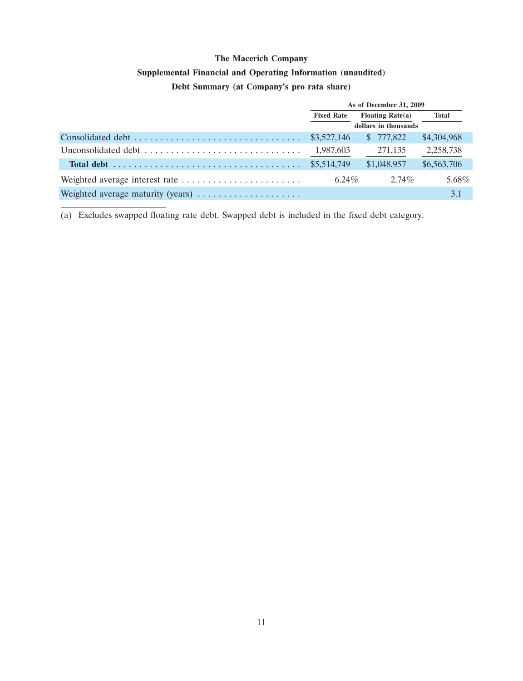# **Supplemental Financial and Operating Information (unaudited)**

## **Debt Summary (at Company's pro rata share)**

| As of December 31, 2009                  |             |             |  |
|------------------------------------------|-------------|-------------|--|
| <b>Fixed Rate</b><br>Floating Rate $(a)$ |             | Total       |  |
| dollars in thousands                     |             |             |  |
|                                          | \$777,822   | \$4,304,968 |  |
| 1,987,603                                | 271,135     | 2,258,738   |  |
| \$5,514,749                              | \$1,048,957 | \$6,563,706 |  |
| $6.24\%$                                 | $2.74\%$    | 5.68%       |  |
|                                          |             | 3.1         |  |

(a) Excludes swapped floating rate debt. Swapped debt is included in the fixed debt category.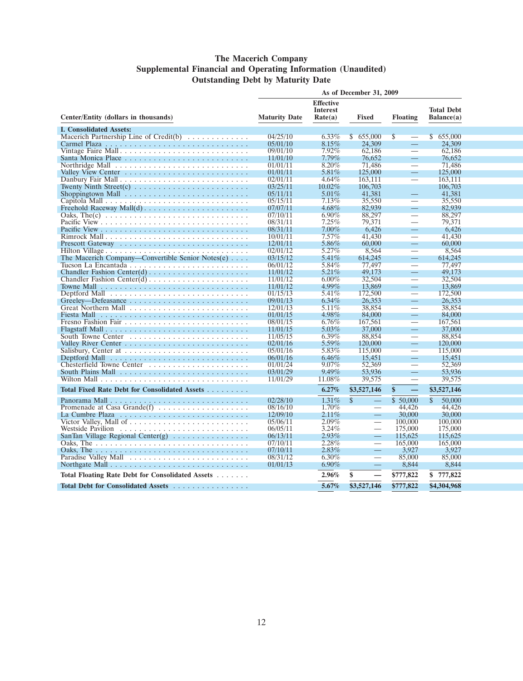### **The Macerich Company Supplemental Financial and Operating Information (Unaudited) Outstanding Debt by Maturity Date**

|                                                                                  | As of December 31, 2009 |                                                |                          |                                          |                                 |
|----------------------------------------------------------------------------------|-------------------------|------------------------------------------------|--------------------------|------------------------------------------|---------------------------------|
| Center/Entity (dollars in thousands)                                             | <b>Maturity Date</b>    | <b>Effective</b><br><b>Interest</b><br>Rate(a) | Fixed                    | <b>Floating</b>                          | <b>Total Debt</b><br>Balance(a) |
| <b>I. Consolidated Assets:</b>                                                   |                         |                                                |                          |                                          |                                 |
| Macerich Partnership Line of Credit(b) $\ldots \ldots \ldots$                    | 04/25/10                | $6.33\%$                                       | \$655,000                | $\mathbf{s}$<br>$\overline{\phantom{0}}$ | \$655,000                       |
|                                                                                  | 05/01/10                | $8.15\%$                                       | 24,309                   | $\equiv$                                 | 24,309                          |
| Vintage Faire Mall                                                               | 09/01/10                | 7.92%                                          | 62,186                   |                                          | 62,186                          |
|                                                                                  | 11/01/10                | $7.79\%$                                       | 76.652                   | $\equiv$                                 | 76,652                          |
|                                                                                  | 01/01/11                | 8.20%                                          | 71,486                   | —                                        | 71,486                          |
|                                                                                  | 01/01/11                | $5.81\%$                                       | 125,000                  | $\equiv$                                 | 125,000                         |
|                                                                                  | 02/01/11                | 4.64%                                          | 163,111                  |                                          | 163,111                         |
| Twenty Ninth Street(c) $\ldots \ldots \ldots \ldots \ldots \ldots \ldots \ldots$ | 03/25/11                | $10.02\%$                                      | 106,703                  |                                          | 106,703                         |
| Shoppingtown Mall $\ldots \ldots \ldots \ldots \ldots \ldots \ldots \ldots$      | 05/11/11                | $5.01\%$                                       | 41.381                   |                                          | 41.381                          |
|                                                                                  | 05/15/11                | 7.13%                                          | 35,550                   | <u>a a</u>                               | 35,550                          |
|                                                                                  | 07/07/11                | $4.68\%$                                       | 82,939                   | $\equiv$                                 | 82,939                          |
|                                                                                  | 07/10/11                | $6.90\%$                                       | 88,297                   |                                          | 88,297                          |
|                                                                                  | 08/31/11                | 7.25%                                          | 79,371                   | $\overline{\phantom{0}}$                 | 79,371                          |
|                                                                                  | 08/31/11                | $7.00\%$                                       | 6,426                    | $\equiv$                                 | 6,426                           |
|                                                                                  | 10/01/11                | $7.57\%$                                       | 41.430                   | $\overline{\phantom{0}}$                 | 41.430                          |
|                                                                                  | 12/01/11                | 5.86%                                          | 60,000                   |                                          | 60,000                          |
| Hilton Village                                                                   | 02/01/12                | $5.27\%$                                       | 8,564                    |                                          | 8,564                           |
| The Macerich Company—Convertible Senior Notes $(e)$                              | 03/15/12                | $5.41\%$                                       | 614,245                  | $\equiv$                                 | 614,245                         |
|                                                                                  | 06/01/12                | 5.84%                                          | 77,497                   | $\overline{\phantom{0}}$                 | 77,497                          |
| Chandler Fashion Center(d) $\ldots \ldots \ldots \ldots \ldots \ldots$           | 11/01/12                | $5.21\%$                                       | 49,173                   | $\equiv$                                 | 49.173                          |
|                                                                                  | 11/01/12                | $6.00\%$                                       | 32,504                   | $\overline{\phantom{0}}$                 | 32,504                          |
|                                                                                  | 11/01/12                | $4.99\%$                                       | 13,869                   | $\equiv$                                 | 13,869                          |
|                                                                                  | 01/15/13                | 5.41%                                          | 172,500                  |                                          | 172,500                         |
|                                                                                  | 09/01/13                | 6.34%                                          | 26,353                   | $\overline{\phantom{0}}$                 | 26,353                          |
|                                                                                  | 12/01/13                | 5.11%                                          | 38,854                   |                                          | 38,854                          |
|                                                                                  | 01/01/15                | 4.98%                                          | 84,000                   | $\equiv$                                 | 84,000                          |
|                                                                                  | 08/01/15                | $6.76\%$                                       | 167,561                  | $=$                                      | 167,561                         |
| Flagstaff Mall                                                                   | 11/01/15                | $5.03\%$                                       | 37,000                   | $\equiv$                                 | 37,000                          |
|                                                                                  | 11/05/15                | 6.39%                                          | 88,854                   |                                          | 88,854                          |
|                                                                                  | 02/01/16                | $5.59\%$                                       | 120,000                  | $\overline{\phantom{0}}$                 | 120,000                         |
|                                                                                  | 05/01/16                | 5.83%                                          | 115,000                  |                                          | 115,000                         |
|                                                                                  | 06/01/16                | 6.46%                                          | 15,451                   | <u>in a</u>                              | 15,451                          |
|                                                                                  | 01/01/24                | 9.07%                                          | 52,369                   | $=$                                      | 52,369                          |
|                                                                                  | 03/01/29                | $9.49\%$                                       | 53,936                   | $\equiv$                                 | 53,936                          |
|                                                                                  | 11/01/29                | 11.08%                                         | 39,575                   |                                          | 39,575                          |
| Total Fixed Rate Debt for Consolidated Assets                                    |                         | 6.27%                                          | \$3,527,146              | \$                                       | \$3,527,146                     |
|                                                                                  | 02/28/10                | 1.31%                                          | $\mathcal{S}$            | \$50,000                                 | $\mathbb{S}$<br>50,000          |
| Promenade at Casa Grande(f)                                                      | 08/16/10                | $1.70\%$                                       |                          | 44.426                                   | 44,426                          |
|                                                                                  | 12/09/10                | 2.11%                                          | $\qquad \qquad =$        | 30,000                                   | 30,000                          |
|                                                                                  | 05/06/11                | $2.09\%$                                       | $\overline{\phantom{0}}$ | 100,000                                  | 100,000                         |
|                                                                                  | 06/05/11                | $3.24\%$                                       |                          | 175,000                                  | 175,000                         |
| SanTan Village Regional Center(g) $\ldots \ldots \ldots \ldots \ldots$           | 06/13/11                | $2.93\%$                                       | ÷,                       | 115,625                                  | 115,625                         |
|                                                                                  | 07/10/11                | 2.28%                                          |                          | 165,000                                  | 165,000                         |
|                                                                                  | 07/10/11                | $2.83\%$                                       | $\equiv$                 | 3,927                                    | 3,927                           |
|                                                                                  | 08/31/12                | $6.30\%$                                       |                          | 85,000                                   | 85,000                          |
| Northgate Mall $\ldots \ldots \ldots \ldots \ldots \ldots \ldots \ldots \ldots$  | 01/01/13                | $6.90\%$                                       | $\overline{\phantom{0}}$ | 8,844                                    | 8,844                           |
| Total Floating Rate Debt for Consolidated Assets                                 |                         | 2.96%                                          | \$                       | \$777,822                                | 777,822<br>\$                   |
| Total Debt for Consolidated Assets                                               |                         | 5.67%                                          | \$3,527,146              | \$777,822                                | \$4,304,968                     |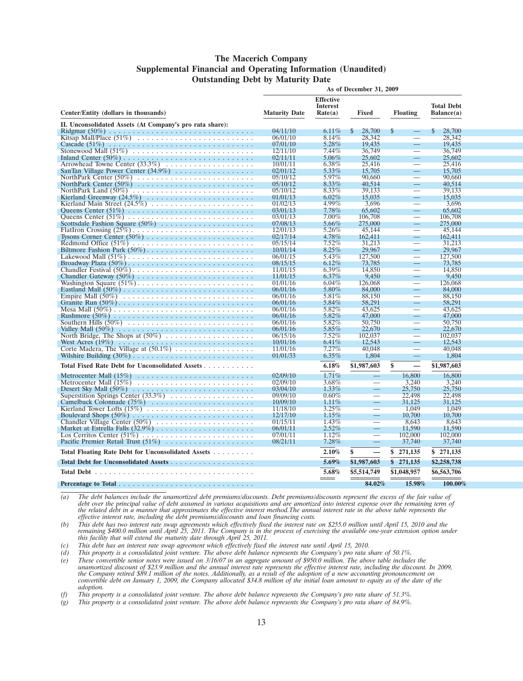#### **The Macerich Company Supplemental Financial and Operating Information (Unaudited) Outstanding Debt by Maturity Date**

|                                                          | As of December 31, 2009 |                                         |                          |                                          |                                 |
|----------------------------------------------------------|-------------------------|-----------------------------------------|--------------------------|------------------------------------------|---------------------------------|
|                                                          | <b>Maturity Date</b>    | <b>Effective</b><br>Interest<br>Rate(a) | <b>Fixed</b>             |                                          | <b>Total Debt</b><br>Balance(a) |
| Center/Entity (dollars in thousands)                     |                         |                                         |                          | <b>Floating</b>                          |                                 |
| II. Unconsolidated Assets (At Company's pro rata share): |                         |                                         |                          |                                          |                                 |
|                                                          | 04/11/10                | $6.11\%$                                | <sup>\$</sup><br>28,700  | $\mathbb{S}$<br>$\overline{\phantom{0}}$ | $\mathbb{S}$<br>28,700          |
|                                                          | 06/01/10                | 8.14%<br>5.28%                          | 28,342                   | L.                                       | 28.342                          |
|                                                          | 07/01/10<br>12/11/10    | 7.44%                                   | 19,435<br>36,749         | $\overline{\phantom{0}}$                 | 19,435<br>36,749                |
|                                                          | 02/11/11                | $5.06\%$                                | 25,602                   | $\overline{\phantom{0}}$                 | 25,602                          |
|                                                          | 10/01/11                | $6.38\%$                                | 25,416                   |                                          | 25,416                          |
|                                                          | 02/01/12                | $5.33\%$                                | 15,705                   | $\overline{\phantom{0}}$                 | 15,705                          |
|                                                          | 05/10/12                | 5.97%                                   | 90.660                   |                                          | 90.660                          |
|                                                          | 05/10/12                | $8.33\%$                                | 40.514                   | $\qquad \qquad -$                        | 40.514                          |
|                                                          | 05/10/12                | $8.33\%$                                | 39.133                   |                                          | 39.133                          |
|                                                          | 01/01/13                | $6.02\%$                                | 15,035                   |                                          | 15,035                          |
|                                                          | 01/02/13                | 4.99%                                   | 3,696                    |                                          | 3.696                           |
|                                                          | 03/01/13                | 7.78%                                   | 65,602                   | $\overline{\phantom{0}}$                 | 65,602                          |
|                                                          | 03/01/13                | $7.00\%$                                | 106,708                  |                                          | 106,708                         |
|                                                          | 07/08/13                | $5.66\%$                                | 275,000                  | <u>—</u>                                 | 275,000                         |
|                                                          | 12/01/13                | $5.26\%$                                | 45,144                   |                                          | 45,144                          |
|                                                          | 02/17/14                | 4.78%                                   | 162,411                  | $\overline{\phantom{0}}$                 | 162,411                         |
|                                                          | 05/15/14                | $7.52\%$                                | 31,213                   |                                          | 31,213                          |
|                                                          | 10/01/14                | $8.25\%$                                | 29,967                   |                                          | 29,967                          |
|                                                          | 06/01/15                | 5.43%                                   | 127,500                  |                                          | 127,500                         |
|                                                          | 08/15/15                | $6.12\%$                                | 73.785                   | and the                                  | 73,785                          |
|                                                          | 11/01/15                | $6.39\%$                                | 14.850                   |                                          | 14.850                          |
|                                                          | 11/01/15                | $6.37\%$                                | 9,450                    | -                                        | 9,450                           |
|                                                          | 01/01/16                | $6.04\%$                                | 126,068                  |                                          | 126,068                         |
|                                                          | 06/01/16                | 5.80%                                   | 84,000                   |                                          | 84,000                          |
|                                                          | 06/01/16                | 5.81%                                   | 88,150                   | =                                        | 88,150                          |
|                                                          | 06/01/16                | 5.84%                                   | 58,291                   | $\equiv$                                 | 58,291                          |
|                                                          | 06/01/16                | 5.82%                                   | 43.625                   | –                                        | 43.625                          |
|                                                          | 06/01/16                | 5.82%                                   | 47,000                   | -                                        | 47,000                          |
|                                                          | 06/01/16                | 5.82%                                   | 50,750                   | $\overline{\phantom{0}}$                 | 50,750                          |
| Valley Mall $(50\%)$                                     | 06/01/16                | $5.85\%$                                | 22,670                   | $\qquad \qquad =$                        | 22,670                          |
|                                                          | 06/15/16                | $7.52\%$                                | 102.037                  |                                          | 102,037                         |
| West Acres $(19\%)$                                      | 10/01/16                | 6.41%                                   | 12,543                   |                                          | 12.543                          |
|                                                          | 11/01/16                | 7.27%                                   | 40.048                   |                                          | 40.048                          |
|                                                          | 01/01/33                | $6.35\%$                                | 1,804                    |                                          | 1,804                           |
| Total Fixed Rate Debt for Unconsolidated Assets          |                         | 6.18%                                   | \$1,987,603              | \$<br>—                                  | \$1,987,603                     |
|                                                          | 02/09/10                | $1.71\%$                                | $\overline{\phantom{a}}$ | 16,800                                   | 16,800                          |
|                                                          | 02/09/10                | 3.68%                                   |                          | 3.240                                    | 3,240                           |
|                                                          | 03/04/10                | $1.33\%$                                | $\equiv$                 | 25,750                                   | 25,750                          |
|                                                          | 09/09/10                | $0.60\%$                                |                          | 22,498                                   | 22,498                          |
|                                                          | 10/09/10                | $1.11\%$                                | $\equiv$                 | 31,125                                   | 31.125                          |
|                                                          | 11/18/10                | 3.25%                                   | $\overline{\phantom{a}}$ | 1,049                                    | 1,049                           |
|                                                          | 12/17/10                | $1.15\%$                                | $\overline{\phantom{0}}$ | 10,700                                   | 10,700                          |
| Chandler Village Center (50%)                            | 01/15/11                | 1.43%                                   |                          | 8,643                                    | 8,643                           |
|                                                          | 06/01/11                | $2.52\%$                                | $\equiv$                 | 11,590                                   | 11,590                          |
|                                                          | 07/01/11                | $1.12\%$                                |                          | 102,000                                  | 102,000                         |
|                                                          | 08/21/11                | $7.28\%$                                | $\overline{\phantom{0}}$ | 37,740                                   | 37,740                          |
| Total Floating Rate Debt for Unconsolidated Assets       |                         | 2.10%                                   | \$                       | 271,135<br>\$                            | \$271,135                       |
| Total Debt for Unconsolidated Assets                     |                         | 5.69%                                   | \$1,987,603              | \$271,135                                | \$2,258,738                     |
|                                                          |                         | 5.68%                                   | \$5,514,749              | \$1,048,957                              | \$6,563,706                     |
|                                                          |                         |                                         | 84.02%                   | 15,98%                                   | 100.00%                         |

*(a) The debt balances include the unamortized debt premiums/discounts. Debt premiums/discounts represent the excess of the fair value of debt over the principal value of debt assumed in various acquisitions and are amortized into interest expense over the remaining term of the related debt in a manner that approximates the effective interest method.The annual interest rate in the above table represents the effective interest rate, including the debt premiums/discounts and loan financing costs.*

(b) This debt has two interest rate swap agreements which effectively fixed the interest rate on \$255.0 million until April 15, 2010 and the<br>remaining \$400.0 million until April 25, 2011. The Company is in the process of e

*(c) This debt has an interest rate swap agreement which effectively fixed the interest rate until April 15, 2010.*

*(d) This property is a consolidated joint venture. The above debt balance represents the Company's pro rata share of 50.1%.*

*(e) These convertible senior notes were issued on 3/16/07 in an aggregate amount of \$950.0 million. The above table includes the unamortized discount of \$23.9 million and the annual interest rate represents the effective interest rate, including the discount. In 2009, the Company retired \$89.1 million of the notes. Additionally, as a result of the adoption of a new accounting pronouncement on convertible debt on January 1, 2009, the Company allocated \$34.8 million of the initial loan amount to equity as of the date of the adoption.*

*(f) This property is a consolidated joint venture. The above debt balance represents the Company's pro rata share of 51.3%.*

*(g) This property is a consolidated joint venture. The above debt balance represents the Company's pro rata share of 84.9%.*